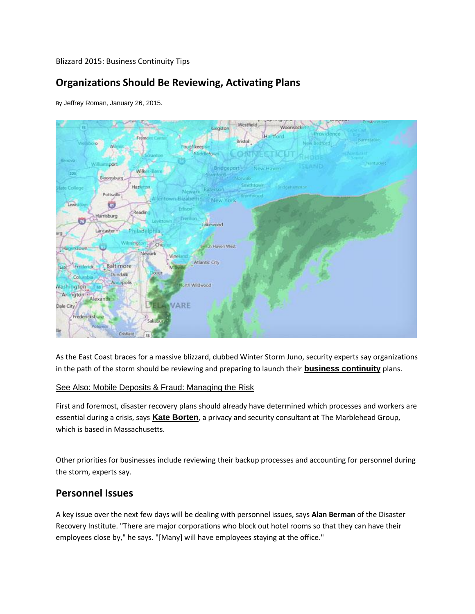Blizzard 2015: Business Continuity Tips

# **Organizations Should Be Reviewing, Activating Plans**

By [Jeffrey Roman](https://plus.google.com/108994419603328824318), January 26, 2015.



As the East Coast braces for a massive blizzard, dubbed Winter Storm Juno, security experts say organizations in the path of the storm should be reviewing and preparing to launch their **[business continuity](http://www.inforisktoday.com/business-continuitydisaster-recovery-c-76?webSyncID=4b238157-b296-309c-e504-0b284174c7b2&sessionGUID=da967e31-4c78-72d7-8e47-4a2be3c69471)** plans.

#### [See Also: Mobile Deposits & Fraud: Managing the Risk](http://www.bankinfosecurity.com/webinars/mobile-deposits-fraud-managing-risk-w-572)

First and foremost, disaster recovery plans should already have determined which processes and workers are essential during a crisis, says **[Kate Borten](http://www.healthcareinfosecurity.com/interviews/consulting-right-gig-for-you-i-2404?webSyncID=4b238157-b296-309c-e504-0b284174c7b2&sessionGUID=da967e31-4c78-72d7-8e47-4a2be3c69471)**, a privacy and security consultant at The Marblehead Group, which is based in Massachusetts.

Other priorities for businesses include reviewing their backup processes and accounting for personnel during the storm, experts say.

### **Personnel Issues**

A key issue over the next few days will be dealing with personnel issues, says **[Alan Berman](http://www.inforisktoday.com/interviews/storm-prep-key-to-recovery-i-1707?webSyncID=4b238157-b296-309c-e504-0b284174c7b2&sessionGUID=da967e31-4c78-72d7-8e47-4a2be3c69471)** of the Disaster Recovery Institute. "There are major corporations who block out hotel rooms so that they can have their employees close by," he says. "[Many] will have employees staying at the office."